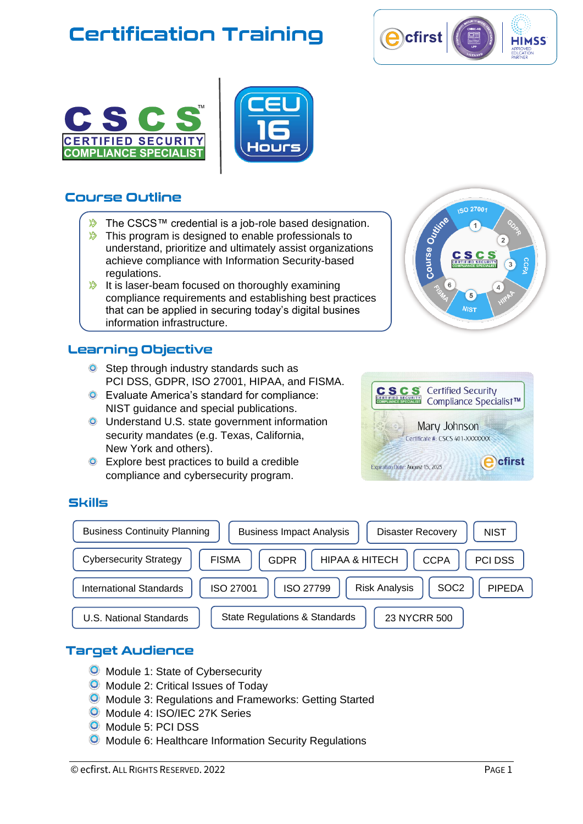

**ISO 27001** 

 $\overline{5}$  $N$ Ist

e Outrine





## **Course Outline**

- The CSCS™ credential is a job-role based designation.
- $\mathbb{R}$ This program is designed to enable professionals to understand, prioritize and ultimately assist organizations achieve compliance with Information Security-based<br>requistions regulations.
- $\gg$ It is laser-beam focused on thoroughly examining compliance requirements and establishing best practices that can be applied in securing today's digital busines information infrastructure.

## Learning Objective

- **O** Step through industry standards such as PCI DSS, GDPR, ISO 27001, HIPAA, and FISMA.
- Evaluate America's standard for compliance: NIST guidance and special publications.
- **O** Understand U.S. state government information security mandates (e.g. Texas, California, New York and others).
- $\bullet$ Explore best practices to build a credible compliance and cybersecurity program.



## **Skills**



### **Target Audience**

- **O** Module 1: State of Cybersecurity
- **O** Module 2: Critical Issues of Today
- Module 3: Regulations and Frameworks: Getting Started
- Module 4: ISO/IEC 27K Series
- O Module 5: PCI DSS
- **O** Module 6: Healthcare Information Security Regulations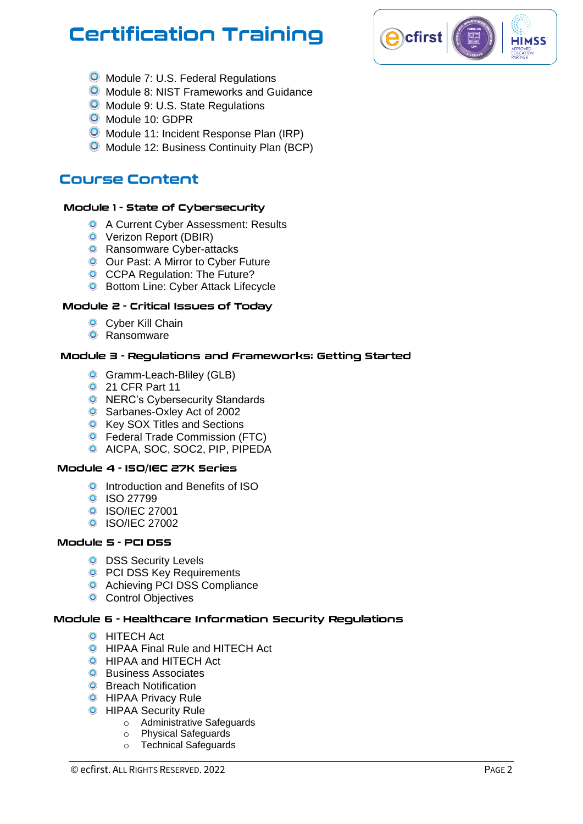

- **O** Module 7: U.S. Federal Regulations
- **O** Module 8: NIST Frameworks and Guidance
- **O** Module 9: U.S. State Regulations
- O Module 10: GDPR
- **O** Module 11: Incident Response Plan (IRP)
- **O** Module 12: Business Continuity Plan (BCP)

## **Course Content**

#### Module 1 - State of Cybersecurity

- **O** A Current Cyber Assessment: Results
- **O** Verizon Report (DBIR)
- **O** Ransomware Cyber-attacks
- **O** Our Past: A Mirror to Cyber Future
- **O** CCPA Regulation: The Future?
- **O** Bottom Line: Cyber Attack Lifecycle

#### Module 2 - Critical Issues of Todav

- **O** Cyber Kill Chain
- **O** Ransomware

#### Module 3 - Regulations and Frameworks: Getting Started

- **Gramm-Leach-Bliley (GLB)**
- **21 CFR Part 11**
- **O** NERC's Cybersecurity Standards
- **Sarbanes-Oxley Act of 2002**
- **O** Key SOX Titles and Sections
- **O** Federal Trade Commission (FTC)
- AICPA, SOC, SOC2, PIP, PIPEDA

#### Module 4 - ISO/IEC 27K Series

- **O** Introduction and Benefits of ISO
- **0** ISO 27799
- **O** ISO/IEC 27001
- **O** ISO/IEC 27002

#### Module 5 - PCI DSS

- **O** DSS Security Levels
- **O** PCI DSS Key Requirements
- **O** Achieving PCI DSS Compliance
- **O** Control Objectives

#### Module 6 - Healthcare Information Security Regulations

- **O** HITECH Act
- **O** HIPAA Final Rule and HITECH Act
- **O** HIPAA and HITECH Act
- **O** Business Associates
- **O** Breach Notification
- **O** HIPAA Privacy Rule
- **O** HIPAA Security Rule
	- o Administrative Safeguards
	- o Physical Safeguards
	- o Technical Safeguards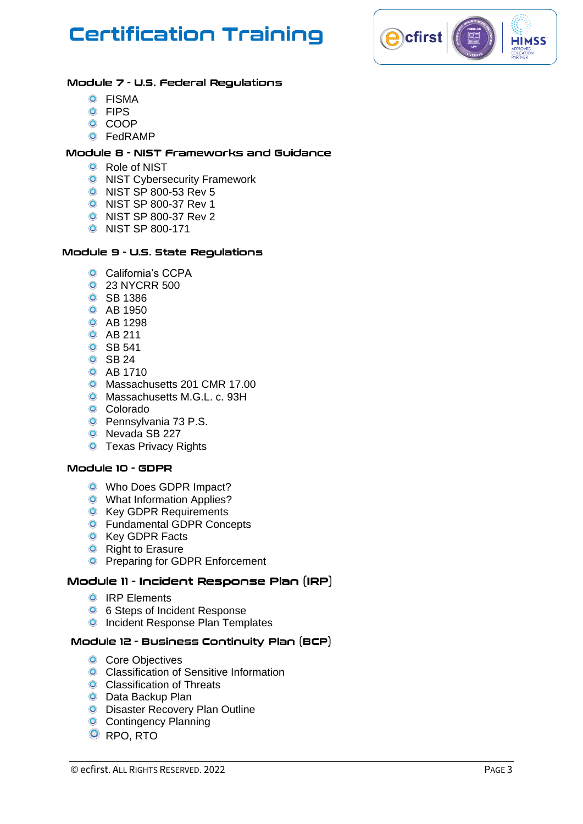

#### Module 7 - U.S. Federal Regulations

- **O** FISMA
- **O** FIPS
- **O** COOP
- FedRAMP

#### Module 8 - NIST Frameworks and Guidance

- **O** Role of NIST
- **O** NIST Cybersecurity Framework
- NIST SP 800 -53 Rev 5
- NIST SP 800 -37 Rev 1
- NIST SP 800 -37 Rev 2
- NIST SP 800 -171

#### Module 9 - U.S. State Regulations

- **O** California's CCPA
- **0** 23 NYCRR 500
- **O** SB 1386
- **O** AB 1950
- **O** AB 1298
- **O** AB 211
- **O** SB 541
- **O** SB 24
- **O** AB 1710
- O Massachusetts 201 CMR 17.00
- **O** Massachusetts M.G.L. c. 93H
- Colorado
- **O** Pennsylvania 73 P.S.
- **O** Nevada SB 227
- **O** Texas Privacy Rights

#### Module 10 - GDPR

- **O** Who Does GDPR Impact?
- **O** What Information Applies?
- **O** Key GDPR Requirements
- **O** Fundamental GDPR Concepts
- **O** Key GDPR Facts
- **O** Right to Erasure
- **O** Preparing for GDPR Enforcement

#### Module 11 - Incident Response Plan (IRP)

- **O** IRP Elements
- 6 Steps of Incident Response
- **O** Incident Response Plan Templates

#### Module 12 - Business Continuity Plan (BCP)

- **O** Core Objectives
- **O** Classification of Sensitive Information
- **O** Classification of Threats
- **O** Data Backup Plan
- **O** Disaster Recovery Plan Outline
- **O** Contingency Planning
- **O** RPO, RTO